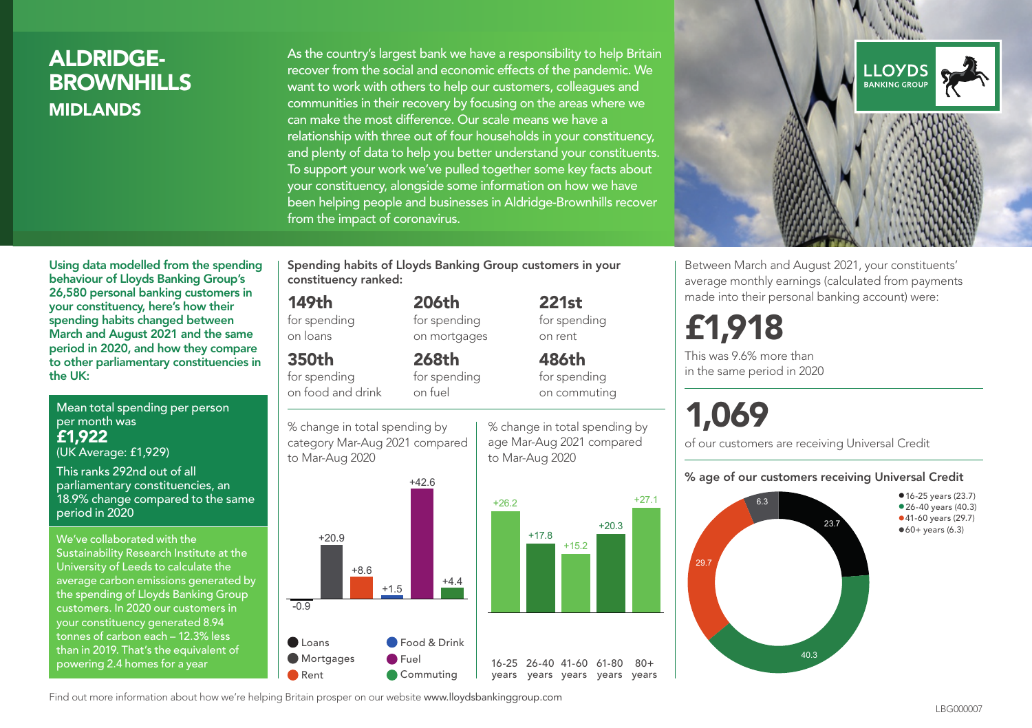## ALDRIDGE-**BROWNHILLS MIDI ANDS**

As the country's largest bank we have a responsibility to help Britain recover from the social and economic effects of the pandemic. We want to work with others to help our customers, colleagues and communities in their recovery by focusing on the areas where we can make the most difference. Our scale means we have a relationship with three out of four households in your constituency, and plenty of data to help you better understand your constituents. To support your work we've pulled together some key facts about your constituency, alongside some information on how we have been helping people and businesses in Aldridge-Brownhills recover from the impact of coronavirus.



Between March and August 2021, your constituents' average monthly earnings (calculated from payments made into their personal banking account) were:

# £1,918

This was 9.6% more than in the same period in 2020

# 1,069

of our customers are receiving Universal Credit

#### % age of our customers receiving Universal Credit



Using data modelled from the spending behaviour of Lloyds Banking Group's 26,580 personal banking customers in your constituency, here's how their spending habits changed between March and August 2021 and the same period in 2020, and how they compare to other parliamentary constituencies in the UK:

Mean total spending per person per month was £1,922 (UK Average: £1,929)

This ranks 292nd out of all parliamentary constituencies, an 18.9% change compared to the same period in 2020

We've collaborated with the Sustainability Research Institute at the University of Leeds to calculate the average carbon emissions generated by the spending of Lloyds Banking Group customers. In 2020 our customers in your constituency generated 8.94 tonnes of carbon each – 12.3% less than in 2019. That's the equivalent of powering 2.4 homes for a year

Spending habits of Lloyds Banking Group customers in your constituency ranked:

> 206th for spending on mortgages

268th

#### 149th

for spending on loans

#### 350th

for spending on food and drink

for spending on fuel

% change in total spending by category Mar-Aug 2021 compared to Mar-Aug 2020



% change in total spending by age Mar-Aug 2021 compared to Mar-Aug 2020

 $+17.8$ 

for spending on rent 486th for spending on commuting

221st

+20.3

+27.1

 $80+$ 

Find out more information about how we're helping Britain prosper on our website www.lloydsbankinggroup.com